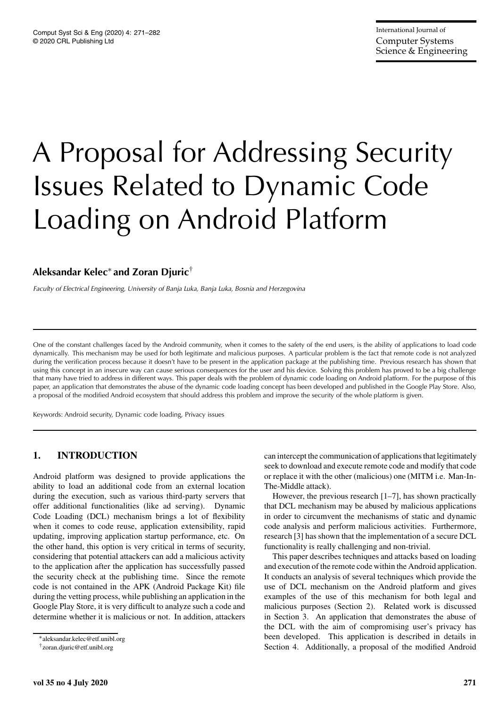# A Proposal for Addressing Security Issues Related to Dynamic Code Loading on Android Platform

# **Aleksandar Kelec**<sup>∗</sup> **and Zoran Djuric**†

*Faculty of Electrical Engineering, University of Banja Luka, Banja Luka, Bosnia and Herzegovina*

One of the constant challenges faced by the Android community, when it comes to the safety of the end users, is the ability of applications to load code dynamically. This mechanism may be used for both legitimate and malicious purposes. A particular problem is the fact that remote code is not analyzed during the verification process because it doesn't have to be present in the application package at the publishing time. Previous research has shown that using this concept in an insecure way can cause serious consequences for the user and his device. Solving this problem has proved to be a big challenge that many have tried to address in different ways. This paper deals with the problem of dynamic code loading on Android platform. For the purpose of this paper, an application that demonstrates the abuse of the dynamic code loading concept has been developed and published in the Google Play Store. Also, a proposal of the modified Android ecosystem that should address this problem and improve the security of the whole platform is given.

Keywords: Android security, Dynamic code loading, Privacy issues

# **1. INTRODUCTION**

Android platform was designed to provide applications the ability to load an additional code from an external location during the execution, such as various third-party servers that offer additional functionalities (like ad serving). Dynamic Code Loading (DCL) mechanism brings a lot of flexibility when it comes to code reuse, application extensibility, rapid updating, improving application startup performance, etc. On the other hand, this option is very critical in terms of security, considering that potential attackers can add a malicious activity to the application after the application has successfully passed the security check at the publishing time. Since the remote code is not contained in the APK (Android Package Kit) file during the vetting process, while publishing an application in the Google Play Store, it is very difficult to analyze such a code and determine whether it is malicious or not. In addition, attackers can intercept the communication of applications that legitimately seek to download and execute remote code and modify that code or replace it with the other (malicious) one (MITM i.e. Man-In-The-Middle attack).

However, the previous research [1–7], has shown practically that DCL mechanism may be abused by malicious applications in order to circumvent the mechanisms of static and dynamic code analysis and perform malicious activities. Furthermore, research [3] has shown that the implementation of a secure DCL functionality is really challenging and non-trivial.

This paper describes techniques and attacks based on loading and execution of the remote code within the Android application. It conducts an analysis of several techniques which provide the use of DCL mechanism on the Android platform and gives examples of the use of this mechanism for both legal and malicious purposes (Section 2). Related work is discussed in Section 3. An application that demonstrates the abuse of the DCL with the aim of compromising user's privacy has been developed. This application is described in details in Section 4. Additionally, a proposal of the modified Android

<sup>∗</sup>aleksandar.kelec@etf.unibl.org

<sup>†</sup>zoran.djuric@etf.unibl.org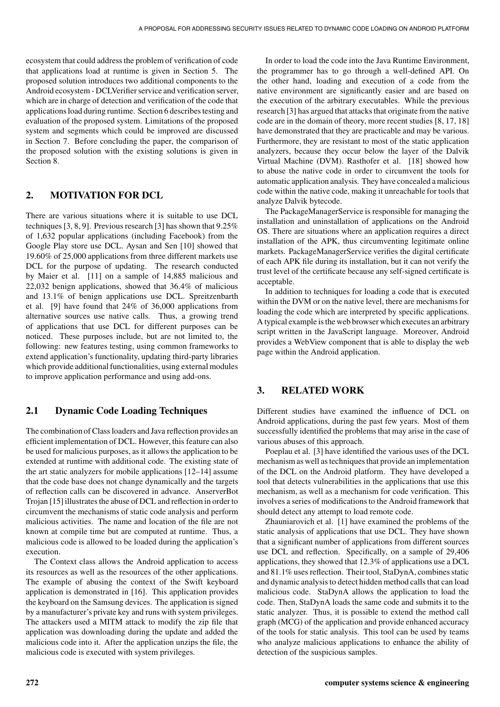ecosystem that could address the problem of verification of code that applications load at runtime is given in Section 5. The proposed solution introduces two additional components to the Android ecosystem - DCLVerifier service and verification server, which are in charge of detection and verification of the code that applications load during runtime. Section 6 describes testing and evaluation of the proposed system. Limitations of the proposed system and segments which could be improved are discussed in Section 7. Before concluding the paper, the comparison of the proposed solution with the existing solutions is given in Section 8.

#### **2. MOTIVATION FOR DCL**

There are various situations where it is suitable to use DCL techniques [3, 8, 9]. Previous research [3] has shown that 9.25% of 1,632 popular applications (including Facebook) from the Google Play store use DCL. Aysan and Sen [10] showed that 19.60% of 25,000 applications from three different markets use DCL for the purpose of updating. The research conducted by Maier et al. [11] on a sample of 14,885 malicious and 22,032 benign applications, showed that 36.4% of malicious and 13.1% of benign applications use DCL. Spreitzenbarth et al. [9] have found that 24% of 36,000 applications from alternative sources use native calls. Thus, a growing trend of applications that use DCL for different purposes can be noticed. These purposes include, but are not limited to, the following: new features testing, using common frameworks to extend application's functionality, updating third-party libraries which provide additional functionalities, using external modules to improve application performance and using add-ons.

## **2.1 Dynamic Code Loading Techniques**

The combination of Class loaders and Java reflection provides an efficient implementation of DCL. However, this feature can also be used for malicious purposes, as it allows the application to be extended at runtime with additional code. The existing state of the art static analyzers for mobile applications [12–14] assume that the code base does not change dynamically and the targets of reflection calls can be discovered in advance. AnserverBot Trojan [15] illustrates the abuse of DCL and reflection in order to circumvent the mechanisms of static code analysis and perform malicious activities. The name and location of the file are not known at compile time but are computed at runtime. Thus, a malicious code is allowed to be loaded during the application's execution.

The Context class allows the Android application to access its resources as well as the resources of the other applications. The example of abusing the context of the Swift keyboard application is demonstrated in [16]. This application provides the keyboard on the Samsung devices. The application is signed by a manufacturer's private key and runs with system privileges. The attackers used a MITM attack to modify the zip file that application was downloading during the update and added the malicious code into it. After the application unzips the file, the malicious code is executed with system privileges.

In order to load the code into the Java Runtime Environment, the programmer has to go through a well-defined API. On the other hand, loading and execution of a code from the native environment are significantly easier and are based on the execution of the arbitrary executables. While the previous research [3] has argued that attacks that originate from the native code are in the domain of theory, more recent studies [8, 17, 18] have demonstrated that they are practicable and may be various. Furthermore, they are resistant to most of the static application analyzers, because they occur below the layer of the Dalvik Virtual Machine (DVM). Rasthofer et al. [18] showed how to abuse the native code in order to circumvent the tools for automatic application analysis. They have concealed a malicious code within the native code, making it unreachable for tools that analyze Dalvik bytecode.

The PackageManagerService is responsible for managing the installation and uninstallation of applications on the Android OS. There are situations where an application requires a direct installation of the APK, thus circumventing legitimate online markets. PackageManagerService verifies the digital certificate of each APK file during its installation, but it can not verify the trust level of the certificate because any self-signed certificate is acceptable.

In addition to techniques for loading a code that is executed within the DVM or on the native level, there are mechanisms for loading the code which are interpreted by specific applications. A typical example is the web browser which executes an arbitrary script written in the JavaScript language. Moreover, Android provides a WebView component that is able to display the web page within the Android application.

#### **3. RELATED WORK**

Different studies have examined the influence of DCL on Android applications, during the past few years. Most of them successfully identified the problems that may arise in the case of various abuses of this approach.

Poeplau et al. [3] have identified the various uses of the DCL mechanism as well as techniques that provide an implementation of the DCL on the Android platform. They have developed a tool that detects vulnerabilities in the applications that use this mechanism, as well as a mechanism for code verification. This involves a series of modifications to the Android framework that should detect any attempt to load remote code.

Zhauniarovich et al. [1] have examined the problems of the static analysis of applications that use DCL. They have shown that a significant number of applications from different sources use DCL and reflection. Specifically, on a sample of 29,406 applications, they showed that 12.3% of applications use a DCL and 81.1% uses reflection. Their tool, StaDynA, combines static and dynamic analysis to detect hidden method calls that can load malicious code. StaDynA allows the application to load the code. Then, StaDynA loads the same code and submits it to the static analyzer. Thus, it is possible to extend the method call graph (MCG) of the application and provide enhanced accuracy of the tools for static analysis. This tool can be used by teams who analyze malicious applications to enhance the ability of detection of the suspicious samples.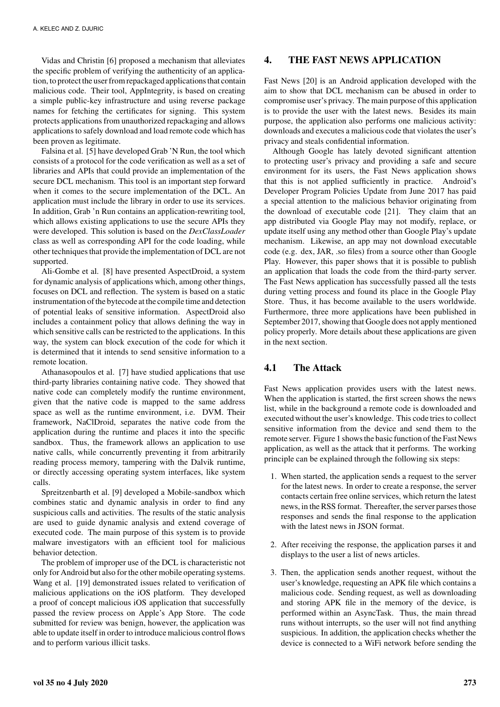Vidas and Christin [6] proposed a mechanism that alleviates the specific problem of verifying the authenticity of an application, to protect the user from repackaged applications that contain malicious code. Their tool, AppIntegrity, is based on creating a simple public-key infrastructure and using reverse package names for fetching the certificates for signing. This system protects applications from unauthorized repackaging and allows applications to safely download and load remote code which has been proven as legitimate.

Falsina et al. [5] have developed Grab 'N Run, the tool which consists of a protocol for the code verification as well as a set of libraries and APIs that could provide an implementation of the secure DCL mechanism. This tool is an important step forward when it comes to the secure implementation of the DCL. An application must include the library in order to use its services. In addition, Grab 'n Run contains an application-rewriting tool, which allows existing applications to use the secure APIs they were developed. This solution is based on the *DexClassLoader* class as well as corresponding API for the code loading, while other techniques that provide the implementation of DCL are not supported.

Ali-Gombe et al. [8] have presented AspectDroid, a system for dynamic analysis of applications which, among other things, focuses on DCL and reflection. The system is based on a static instrumentation of the bytecode at the compile time and detection of potential leaks of sensitive information. AspectDroid also includes a containment policy that allows defining the way in which sensitive calls can be restricted to the applications. In this way, the system can block execution of the code for which it is determined that it intends to send sensitive information to a remote location.

Athanasopoulos et al. [7] have studied applications that use third-party libraries containing native code. They showed that native code can completely modify the runtime environment, given that the native code is mapped to the same address space as well as the runtime environment, i.e. DVM. Their framework, NaClDroid, separates the native code from the application during the runtime and places it into the specific sandbox. Thus, the framework allows an application to use native calls, while concurrently preventing it from arbitrarily reading process memory, tampering with the Dalvik runtime, or directly accessing operating system interfaces, like system calls.

Spreitzenbarth et al. [9] developed a Mobile-sandbox which combines static and dynamic analysis in order to find any suspicious calls and activities. The results of the static analysis are used to guide dynamic analysis and extend coverage of executed code. The main purpose of this system is to provide malware investigators with an efficient tool for malicious behavior detection.

The problem of improper use of the DCL is characteristic not only for Android but also for the other mobile operating systems. Wang et al. [19] demonstrated issues related to verification of malicious applications on the iOS platform. They developed a proof of concept malicious iOS application that successfully passed the review process on Apple's App Store. The code submitted for review was benign, however, the application was able to update itself in order to introduce malicious control flows and to perform various illicit tasks.

#### **4. THE FAST NEWS APPLICATION**

Fast News [20] is an Android application developed with the aim to show that DCL mechanism can be abused in order to compromise user's privacy. The main purpose of this application is to provide the user with the latest news. Besides its main purpose, the application also performs one malicious activity: downloads and executes a malicious code that violates the user's privacy and steals confidential information.

Although Google has lately devoted significant attention to protecting user's privacy and providing a safe and secure environment for its users, the Fast News application shows that this is not applied sufficiently in practice. Android's Developer Program Policies Update from June 2017 has paid a special attention to the malicious behavior originating from the download of executable code [21]. They claim that an app distributed via Google Play may not modify, replace, or update itself using any method other than Google Play's update mechanism. Likewise, an app may not download executable code (e.g. dex, JAR, .so files) from a source other than Google Play. However, this paper shows that it is possible to publish an application that loads the code from the third-party server. The Fast News application has successfully passed all the tests during vetting process and found its place in the Google Play Store. Thus, it has become available to the users worldwide. Furthermore, three more applications have been published in September 2017, showing that Google does not apply mentioned policy properly. More details about these applications are given in the next section.

## **4.1 The Attack**

Fast News application provides users with the latest news. When the application is started, the first screen shows the news list, while in the background a remote code is downloaded and executed without the user's knowledge. This code tries to collect sensitive information from the device and send them to the remote server. Figure 1 shows the basic function of the Fast News application, as well as the attack that it performs. The working principle can be explained through the following six steps:

- 1. When started, the application sends a request to the server for the latest news. In order to create a response, the server contacts certain free online services, which return the latest news, in the RSS format. Thereafter, the server parses those responses and sends the final response to the application with the latest news in JSON format.
- 2. After receiving the response, the application parses it and displays to the user a list of news articles.
- 3. Then, the application sends another request, without the user's knowledge, requesting an APK file which contains a malicious code. Sending request, as well as downloading and storing APK file in the memory of the device, is performed within an AsyncTask. Thus, the main thread runs without interrupts, so the user will not find anything suspicious. In addition, the application checks whether the device is connected to a WiFi network before sending the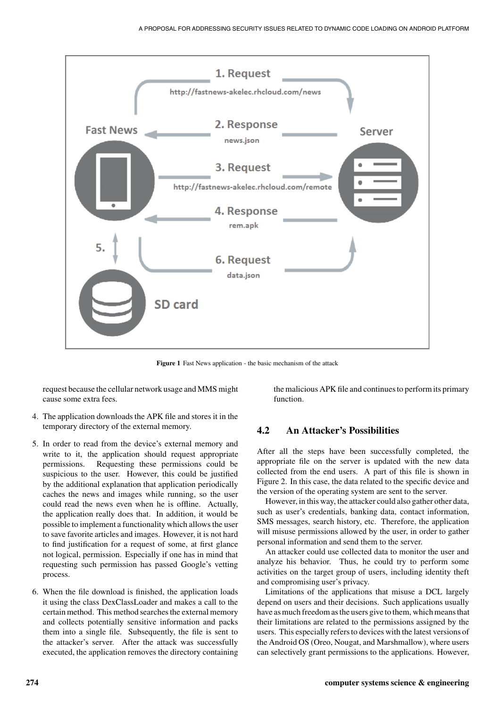

**Figure 1** Fast News application - the basic mechanism of the attack

request because the cellular network usage and MMS might cause some extra fees.

- 4. The application downloads the APK file and stores it in the temporary directory of the external memory.
- 5. In order to read from the device's external memory and write to it, the application should request appropriate permissions. Requesting these permissions could be suspicious to the user. However, this could be justified by the additional explanation that application periodically caches the news and images while running, so the user could read the news even when he is offline. Actually, the application really does that. In addition, it would be possible to implement a functionality which allows the user to save favorite articles and images. However, it is not hard to find justification for a request of some, at first glance not logical, permission. Especially if one has in mind that requesting such permission has passed Google's vetting process.
- 6. When the file download is finished, the application loads it using the class DexClassLoader and makes a call to the certain method. This method searches the external memory and collects potentially sensitive information and packs them into a single file. Subsequently, the file is sent to the attacker's server. After the attack was successfully executed, the application removes the directory containing

the malicious APK file and continues to perform its primary function.

#### **4.2 An Attacker's Possibilities**

After all the steps have been successfully completed, the appropriate file on the server is updated with the new data collected from the end users. A part of this file is shown in Figure 2. In this case, the data related to the specific device and the version of the operating system are sent to the server.

However, in this way, the attacker could also gather other data, such as user's credentials, banking data, contact information, SMS messages, search history, etc. Therefore, the application will misuse permissions allowed by the user, in order to gather personal information and send them to the server.

An attacker could use collected data to monitor the user and analyze his behavior. Thus, he could try to perform some activities on the target group of users, including identity theft and compromising user's privacy.

Limitations of the applications that misuse a DCL largely depend on users and their decisions. Such applications usually have as much freedom as the users give to them, which means that their limitations are related to the permissions assigned by the users. This especially refers to devices with the latest versions of the Android OS (Oreo, Nougat, and Marshmallow), where users can selectively grant permissions to the applications. However,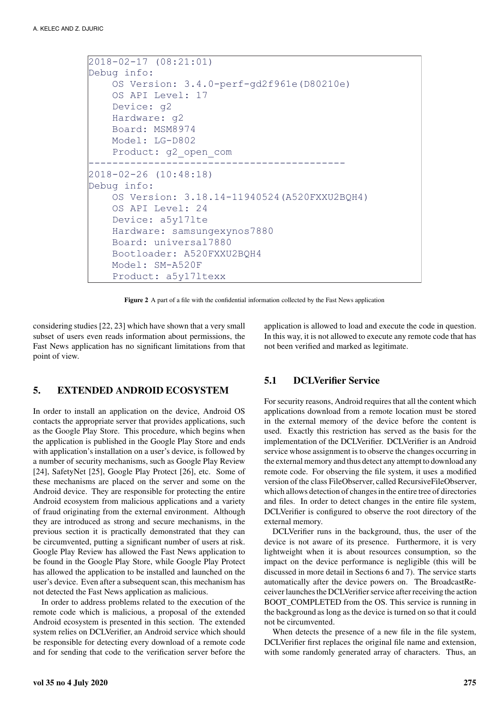```
2018-02-17 (08:21:01) 
Debug info: 
     OS Version: 3.4.0-perf-gd2f961e(D80210e) 
     OS API Level: 17 
     Device: g2 
     Hardware: g2 
     Board: MSM8974 
     Model: LG-D802 
     Product: g2_open_com
------------------------------------------- 
2018-02-26 (10:48:18)
Debug info: 
     OS Version: 3.18.14-11940524(A520FXXU2BQH4) 
     OS API Level: 24 
     Device: a5y17lte 
     Hardware: samsungexynos7880 
     Board: universal7880 
     Bootloader: A520FXXU2BQH4 
     Model: SM-A520F 
     Product: a5y17ltexx
```
**Figure 2** A part of a file with the confidential information collected by the Fast News application

considering studies [22, 23] which have shown that a very small subset of users even reads information about permissions, the Fast News application has no significant limitations from that point of view.

#### **5. EXTENDED ANDROID ECOSYSTEM**

In order to install an application on the device, Android OS contacts the appropriate server that provides applications, such as the Google Play Store. This procedure, which begins when the application is published in the Google Play Store and ends with application's installation on a user's device, is followed by a number of security mechanisms, such as Google Play Review [24], SafetyNet [25], Google Play Protect [26], etc. Some of these mechanisms are placed on the server and some on the Android device. They are responsible for protecting the entire Android ecosystem from malicious applications and a variety of fraud originating from the external environment. Although they are introduced as strong and secure mechanisms, in the previous section it is practically demonstrated that they can be circumvented, putting a significant number of users at risk. Google Play Review has allowed the Fast News application to be found in the Google Play Store, while Google Play Protect has allowed the application to be installed and launched on the user's device. Even after a subsequent scan, this mechanism has not detected the Fast News application as malicious.

In order to address problems related to the execution of the remote code which is malicious, a proposal of the extended Android ecosystem is presented in this section. The extended system relies on DCLVerifier, an Android service which should be responsible for detecting every download of a remote code and for sending that code to the verification server before the application is allowed to load and execute the code in question. In this way, it is not allowed to execute any remote code that has not been verified and marked as legitimate.

#### **5.1 DCLVerifier Service**

For security reasons, Android requires that all the content which applications download from a remote location must be stored in the external memory of the device before the content is used. Exactly this restriction has served as the basis for the implementation of the DCLVerifier. DCLVerifier is an Android service whose assignment is to observe the changes occurring in the external memory and thus detect any attempt to download any remote code. For observing the file system, it uses a modified version of the class FileObserver, called RecursiveFileObserver, which allows detection of changes in the entire tree of directories and files. In order to detect changes in the entire file system, DCLVerifier is configured to observe the root directory of the external memory.

DCLVerifier runs in the background, thus, the user of the device is not aware of its presence. Furthermore, it is very lightweight when it is about resources consumption, so the impact on the device performance is negligible (this will be discussed in more detail in Sections 6 and 7). The service starts automatically after the device powers on. The BroadcastReceiver launches the DCLVerifier service after receiving the action BOOT\_COMPLETED from the OS. This service is running in the background as long as the device is turned on so that it could not be circumvented.

When detects the presence of a new file in the file system, DCLVerifier first replaces the original file name and extension, with some randomly generated array of characters. Thus, an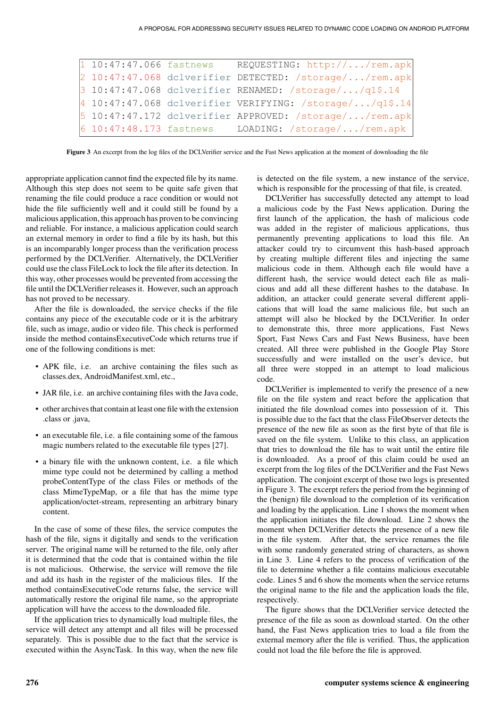| $1 10:47:47.066$ fastnews | REQUESTING: http:///rem.apk                              |
|---------------------------|----------------------------------------------------------|
|                           | 2 10:47:47.068 dclverifier DETECTED: /storage//rem.apk   |
|                           | $3\ 10:47:47.068$ dclverifier RENAMED: /storage//q1\$.14 |
|                           | $410:47:47.068$ dclverifier VERIFYING: /storage//q1\$.14 |
|                           | 5 10:47:47.172 dclverifier APPROVED: /storage//rem.apk   |
|                           | 6 10:47:48.173 fastnews LOADING: /storage//rem.apk       |

**Figure 3** An excerpt from the log files of the DCLVerifier service and the Fast News application at the moment of downloading the file

appropriate application cannot find the expected file by its name. Although this step does not seem to be quite safe given that renaming the file could produce a race condition or would not hide the file sufficiently well and it could still be found by a malicious application, this approach has proven to be convincing and reliable. For instance, a malicious application could search an external memory in order to find a file by its hash, but this is an incomparably longer process than the verification process performed by the DCLVerifier. Alternatively, the DCLVerifier could use the class FileLock to lock the file after its detection. In this way, other processes would be prevented from accessing the file until the DCLVerifier releases it. However, such an approach has not proved to be necessary.

After the file is downloaded, the service checks if the file contains any piece of the executable code or it is the arbitrary file, such as image, audio or video file. This check is performed inside the method containsExecutiveCode which returns true if one of the following conditions is met:

- APK file, i.e. an archive containing the files such as classes.dex, AndroidManifest.xml, etc.,
- JAR file, i.e. an archive containing files with the Java code,
- other archives that contain at least one file with the extension .class or .java,
- an executable file, i.e. a file containing some of the famous magic numbers related to the executable file types [27].
- a binary file with the unknown content, i.e. a file which mime type could not be determined by calling a method probeContentType of the class Files or methods of the class MimeTypeMap, or a file that has the mime type application/octet-stream, representing an arbitrary binary content.

In the case of some of these files, the service computes the hash of the file, signs it digitally and sends to the verification server. The original name will be returned to the file, only after it is determined that the code that is contained within the file is not malicious. Otherwise, the service will remove the file and add its hash in the register of the malicious files. If the method containsExecutiveCode returns false, the service will automatically restore the original file name, so the appropriate application will have the access to the downloaded file.

If the application tries to dynamically load multiple files, the service will detect any attempt and all files will be processed separately. This is possible due to the fact that the service is executed within the AsyncTask. In this way, when the new file

is detected on the file system, a new instance of the service, which is responsible for the processing of that file, is created.

DCLVerifier has successfully detected any attempt to load a malicious code by the Fast News application. During the first launch of the application, the hash of malicious code was added in the register of malicious applications, thus permanently preventing applications to load this file. An attacker could try to circumvent this hash-based approach by creating multiple different files and injecting the same malicious code in them. Although each file would have a different hash, the service would detect each file as malicious and add all these different hashes to the database. In addition, an attacker could generate several different applications that will load the same malicious file, but such an attempt will also be blocked by the DCLVerifier. In order to demonstrate this, three more applications, Fast News Sport, Fast News Cars and Fast News Business, have been created. All three were published in the Google Play Store successfully and were installed on the user's device, but all three were stopped in an attempt to load malicious code.

DCLVerifier is implemented to verify the presence of a new file on the file system and react before the application that initiated the file download comes into possession of it. This is possible due to the fact that the class FileObserver detects the presence of the new file as soon as the first byte of that file is saved on the file system. Unlike to this class, an application that tries to download the file has to wait until the entire file is downloaded. As a proof of this claim could be used an excerpt from the log files of the DCLVerifier and the Fast News application. The conjoint excerpt of those two logs is presented in Figure 3. The excerpt refers the period from the beginning of the (benign) file download to the completion of its verification and loading by the application. Line 1 shows the moment when the application initiates the file download. Line 2 shows the moment when DCLVerifier detects the presence of a new file in the file system. After that, the service renames the file with some randomly generated string of characters, as shown in Line 3. Line 4 refers to the process of verification of the file to determine whether a file contains malicious executable code. Lines 5 and 6 show the moments when the service returns the original name to the file and the application loads the file, respectively.

The figure shows that the DCLVerifier service detected the presence of the file as soon as download started. On the other hand, the Fast News application tries to load a file from the external memory after the file is verified. Thus, the application could not load the file before the file is approved.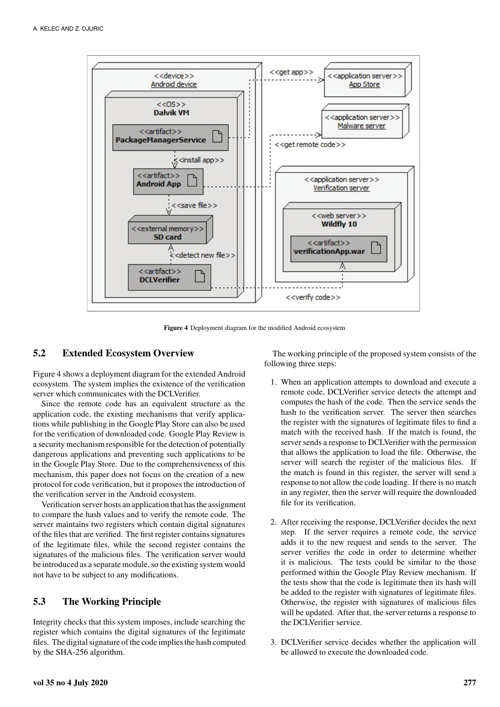

**Figure 4** Deployment diagram for the modified Android ecosystem

#### **5.2 Extended Ecosystem Overview**

Figure 4 shows a deployment diagram for the extended Android ecosystem. The system implies the existence of the verification server which communicates with the DCLVerifier.

Since the remote code has an equivalent structure as the application code, the existing mechanisms that verify applications while publishing in the Google Play Store can also be used for the verification of downloaded code. Google Play Review is a security mechanism responsible for the detection of potentially dangerous applications and preventing such applications to be in the Google Play Store. Due to the comprehensiveness of this mechanism, this paper does not focus on the creation of a new protocol for code verification, but it proposes the introduction of the verification server in the Android ecosystem.

Verification server hosts an application that has the assignment to compare the hash values and to verify the remote code. The server maintains two registers which contain digital signatures of the files that are verified. The first register contains signatures of the legitimate files, while the second register contains the signatures of the malicious files. The verification server would be introduced as a separate module, so the existing system would not have to be subject to any modifications.

#### **5.3 The Working Principle**

Integrity checks that this system imposes, include searching the register which contains the digital signatures of the legitimate files. The digital signature of the code implies the hash computed by the SHA-256 algorithm.

The working principle of the proposed system consists of the following three steps:

- 1. When an application attempts to download and execute a remote code, DCLVerifier service detects the attempt and computes the hash of the code. Then the service sends the hash to the verification server. The server then searches the register with the signatures of legitimate files to find a match with the received hash. If the match is found, the server sends a response to DCLVerifier with the permission that allows the application to load the file. Otherwise, the server will search the register of the malicious files. If the match is found in this register, the server will send a response to not allow the code loading. If there is no match in any register, then the server will require the downloaded file for its verification.
- 2. After receiving the response, DCLVerifier decides the next step. If the server requires a remote code, the service adds it to the new request and sends to the server. The server verifies the code in order to determine whether it is malicious. The tests could be similar to the those performed within the Google Play Review mechanism. If the tests show that the code is legitimate then its hash will be added to the register with signatures of legitimate files. Otherwise, the register with signatures of malicious files will be updated. After that, the server returns a response to the DCLVerifier service.
- 3. DCLVerifier service decides whether the application will be allowed to execute the downloaded code.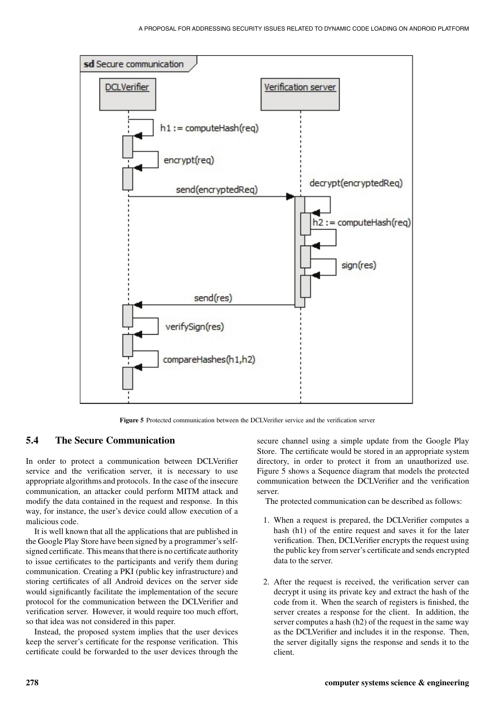

**Figure 5** Protected communication between the DCLVerifier service and the verification server

#### **5.4 The Secure Communication**

In order to protect a communication between DCLVerifier service and the verification server, it is necessary to use appropriate algorithms and protocols. In the case of the insecure communication, an attacker could perform MITM attack and modify the data contained in the request and response. In this way, for instance, the user's device could allow execution of a malicious code.

It is well known that all the applications that are published in the Google Play Store have been signed by a programmer's selfsigned certificate. This means that there is no certificate authority to issue certificates to the participants and verify them during communication. Creating a PKI (public key infrastructure) and storing certificates of all Android devices on the server side would significantly facilitate the implementation of the secure protocol for the communication between the DCLVerifier and verification server. However, it would require too much effort, so that idea was not considered in this paper.

Instead, the proposed system implies that the user devices keep the server's certificate for the response verification. This certificate could be forwarded to the user devices through the

secure channel using a simple update from the Google Play Store. The certificate would be stored in an appropriate system directory, in order to protect it from an unauthorized use. Figure 5 shows a Sequence diagram that models the protected communication between the DCLVerifier and the verification server.

The protected communication can be described as follows:

- 1. When a request is prepared, the DCLVerifier computes a hash (h1) of the entire request and saves it for the later verification. Then, DCLVerifier encrypts the request using the public key from server's certificate and sends encrypted data to the server.
- 2. After the request is received, the verification server can decrypt it using its private key and extract the hash of the code from it. When the search of registers is finished, the server creates a response for the client. In addition, the server computes a hash (h2) of the request in the same way as the DCLVerifier and includes it in the response. Then, the server digitally signs the response and sends it to the client.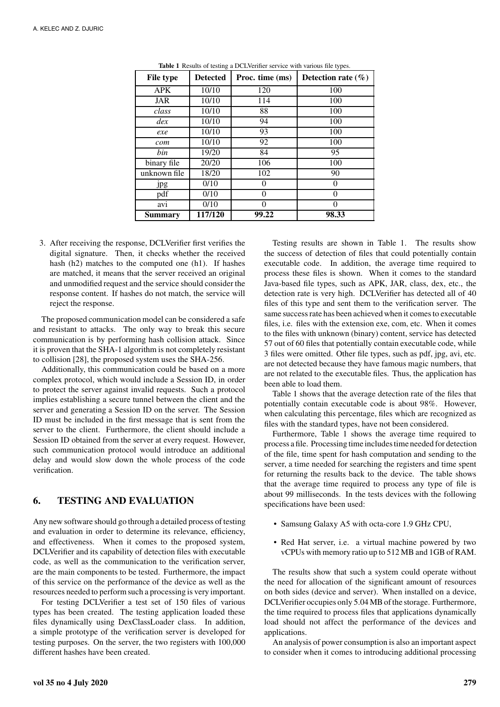| <b>File type</b> | <b>Detected</b> | Proc. time (ms) | Detection rate $(\% )$ |
|------------------|-----------------|-----------------|------------------------|
| <b>APK</b>       | 10/10           | 120             | 100                    |
| JAR              | 10/10           | 114             | 100                    |
| class            | 10/10           | 88              | 100                    |
| dex              | 10/10           | 94              | 100                    |
| exe              | 10/10           | 93              | 100                    |
| com              | 10/10           | 92              | 100                    |
| bin              | 19/20           | 84              | 95                     |
| binary file      | 20/20           | 106             | 100                    |
| unknown file     | 18/20           | 102             | 90                     |
| <i>jpg</i>       | 0/10            | $\theta$        | $\theta$               |
| pdf              | 0/10            | 0               | 0                      |
| avi              | 0/10            | $\theta$        | $\Omega$               |
| Summary          | 117/120         | 99.22           | 98.33                  |

**Table 1** Results of testing a DCLVerifier service with various file types.

3. After receiving the response, DCLVerifier first verifies the digital signature. Then, it checks whether the received hash (h2) matches to the computed one (h1). If hashes are matched, it means that the server received an original and unmodified request and the service should consider the response content. If hashes do not match, the service will reject the response.

The proposed communication model can be considered a safe and resistant to attacks. The only way to break this secure communication is by performing hash collision attack. Since it is proven that the SHA-1 algorithm is not completely resistant to collision [28], the proposed system uses the SHA-256.

Additionally, this communication could be based on a more complex protocol, which would include a Session ID, in order to protect the server against invalid requests. Such a protocol implies establishing a secure tunnel between the client and the server and generating a Session ID on the server. The Session ID must be included in the first message that is sent from the server to the client. Furthermore, the client should include a Session ID obtained from the server at every request. However, such communication protocol would introduce an additional delay and would slow down the whole process of the code verification.

#### **6. TESTING AND EVALUATION**

Any new software should go through a detailed process of testing and evaluation in order to determine its relevance, efficiency, and effectiveness. When it comes to the proposed system, DCLVerifier and its capability of detection files with executable code, as well as the communication to the verification server, are the main components to be tested. Furthermore, the impact of this service on the performance of the device as well as the resources needed to perform such a processing is very important.

For testing DCLVerifier a test set of 150 files of various types has been created. The testing application loaded these files dynamically using DexClassLoader class. In addition, a simple prototype of the verification server is developed for testing purposes. On the server, the two registers with 100,000 different hashes have been created.

Testing results are shown in Table 1. The results show the success of detection of files that could potentially contain executable code. In addition, the average time required to process these files is shown. When it comes to the standard Java-based file types, such as APK, JAR, class, dex, etc., the detection rate is very high. DCLVerifier has detected all of 40 files of this type and sent them to the verification server. The same success rate has been achieved when it comes to executable files, i.e. files with the extension exe, com, etc. When it comes to the files with unknown (binary) content, service has detected 57 out of 60 files that potentially contain executable code, while 3 files were omitted. Other file types, such as pdf, jpg, avi, etc. are not detected because they have famous magic numbers, that are not related to the executable files. Thus, the application has been able to load them.

Table 1 shows that the average detection rate of the files that potentially contain executable code is about 98%. However, when calculating this percentage, files which are recognized as files with the standard types, have not been considered.

Furthermore, Table 1 shows the average time required to process a file. Processing time includes time needed for detection of the file, time spent for hash computation and sending to the server, a time needed for searching the registers and time spent for returning the results back to the device. The table shows that the average time required to process any type of file is about 99 milliseconds. In the tests devices with the following specifications have been used:

- Samsung Galaxy A5 with octa-core 1.9 GHz CPU,
- Red Hat server, i.e. a virtual machine powered by two vCPUs with memory ratio up to 512 MB and 1GB of RAM.

The results show that such a system could operate without the need for allocation of the significant amount of resources on both sides (device and server). When installed on a device, DCLVerifier occupies only 5.04 MB of the storage. Furthermore, the time required to process files that applications dynamically load should not affect the performance of the devices and applications.

An analysis of power consumption is also an important aspect to consider when it comes to introducing additional processing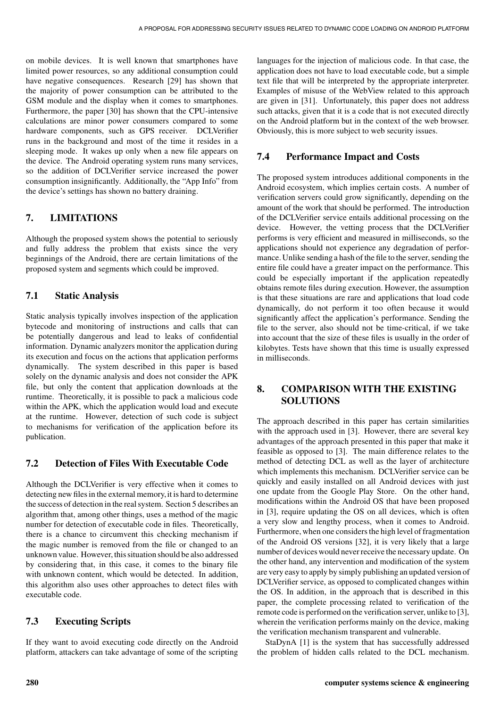on mobile devices. It is well known that smartphones have limited power resources, so any additional consumption could have negative consequences. Research [29] has shown that the majority of power consumption can be attributed to the GSM module and the display when it comes to smartphones. Furthermore, the paper [30] has shown that the CPU-intensive calculations are minor power consumers compared to some hardware components, such as GPS receiver. DCLVerifier runs in the background and most of the time it resides in a sleeping mode. It wakes up only when a new file appears on the device. The Android operating system runs many services, so the addition of DCLVerifier service increased the power consumption insignificantly. Additionally, the "App Info" from the device's settings has shown no battery draining.

## **7. LIMITATIONS**

Although the proposed system shows the potential to seriously and fully address the problem that exists since the very beginnings of the Android, there are certain limitations of the proposed system and segments which could be improved.

## **7.1 Static Analysis**

Static analysis typically involves inspection of the application bytecode and monitoring of instructions and calls that can be potentially dangerous and lead to leaks of confidential information. Dynamic analyzers monitor the application during its execution and focus on the actions that application performs dynamically. The system described in this paper is based solely on the dynamic analysis and does not consider the APK file, but only the content that application downloads at the runtime. Theoretically, it is possible to pack a malicious code within the APK, which the application would load and execute at the runtime. However, detection of such code is subject to mechanisms for verification of the application before its publication.

## **7.2 Detection of Files With Executable Code**

Although the DCLVerifier is very effective when it comes to detecting new files in the external memory, it is hard to determine the success of detection in the real system. Section 5 describes an algorithm that, among other things, uses a method of the magic number for detection of executable code in files. Theoretically, there is a chance to circumvent this checking mechanism if the magic number is removed from the file or changed to an unknown value. However, this situation should be also addressed by considering that, in this case, it comes to the binary file with unknown content, which would be detected. In addition, this algorithm also uses other approaches to detect files with executable code.

## **7.3 Executing Scripts**

If they want to avoid executing code directly on the Android platform, attackers can take advantage of some of the scripting languages for the injection of malicious code. In that case, the application does not have to load executable code, but a simple text file that will be interpreted by the appropriate interpreter. Examples of misuse of the WebView related to this approach are given in [31]. Unfortunately, this paper does not address such attacks, given that it is a code that is not executed directly on the Android platform but in the context of the web browser. Obviously, this is more subject to web security issues.

# **7.4 Performance Impact and Costs**

The proposed system introduces additional components in the Android ecosystem, which implies certain costs. A number of verification servers could grow significantly, depending on the amount of the work that should be performed. The introduction of the DCLVerifier service entails additional processing on the device. However, the vetting process that the DCLVerifier performs is very efficient and measured in milliseconds, so the applications should not experience any degradation of performance. Unlike sending a hash of the file to the server, sending the entire file could have a greater impact on the performance. This could be especially important if the application repeatedly obtains remote files during execution. However, the assumption is that these situations are rare and applications that load code dynamically, do not perform it too often because it would significantly affect the application's performance. Sending the file to the server, also should not be time-critical, if we take into account that the size of these files is usually in the order of kilobytes. Tests have shown that this time is usually expressed in milliseconds.

## **8. COMPARISON WITH THE EXISTING SOLUTIONS**

The approach described in this paper has certain similarities with the approach used in [3]. However, there are several key advantages of the approach presented in this paper that make it feasible as opposed to [3]. The main difference relates to the method of detecting DCL as well as the layer of architecture which implements this mechanism. DCLVerifier service can be quickly and easily installed on all Android devices with just one update from the Google Play Store. On the other hand, modifications within the Android OS that have been proposed in [3], require updating the OS on all devices, which is often a very slow and lengthy process, when it comes to Android. Furthermore, when one considers the high level of fragmentation of the Android OS versions [32], it is very likely that a large number of devices would never receive the necessary update. On the other hand, any intervention and modification of the system are very easy to apply by simply publishing an updated version of DCLVerifier service, as opposed to complicated changes within the OS. In addition, in the approach that is described in this paper, the complete processing related to verification of the remote code is performed on the verification server, unlike to [3], wherein the verification performs mainly on the device, making the verification mechanism transparent and vulnerable.

StaDynA [1] is the system that has successfully addressed the problem of hidden calls related to the DCL mechanism.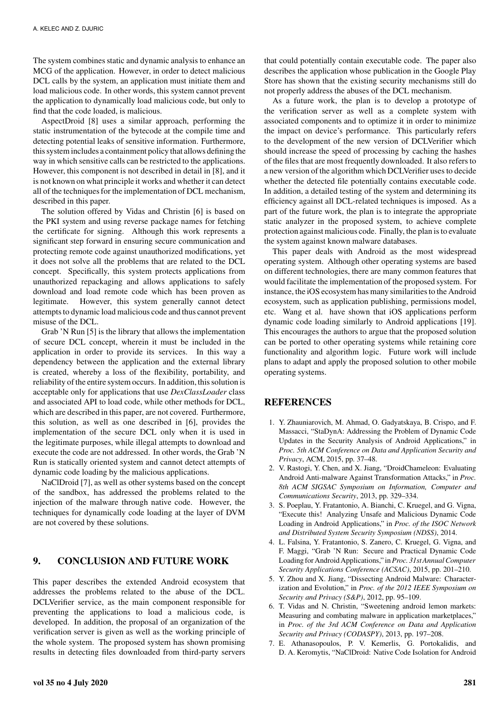The system combines static and dynamic analysis to enhance an MCG of the application. However, in order to detect malicious DCL calls by the system, an application must initiate them and load malicious code. In other words, this system cannot prevent the application to dynamically load malicious code, but only to find that the code loaded, is malicious.

AspectDroid [8] uses a similar approach, performing the static instrumentation of the bytecode at the compile time and detecting potential leaks of sensitive information. Furthermore, this system includes a containment policy that allows defining the way in which sensitive calls can be restricted to the applications. However, this component is not described in detail in [8], and it is not known on what principle it works and whether it can detect all of the techniques for the implementation of DCL mechanism, described in this paper.

The solution offered by Vidas and Christin [6] is based on the PKI system and using reverse package names for fetching the certificate for signing. Although this work represents a significant step forward in ensuring secure communication and protecting remote code against unauthorized modifications, yet it does not solve all the problems that are related to the DCL concept. Specifically, this system protects applications from unauthorized repackaging and allows applications to safely download and load remote code which has been proven as legitimate. However, this system generally cannot detect attempts to dynamic load malicious code and thus cannot prevent misuse of the DCL.

Grab 'N Run [5] is the library that allows the implementation of secure DCL concept, wherein it must be included in the application in order to provide its services. In this way a dependency between the application and the external library is created, whereby a loss of the flexibility, portability, and reliability of the entire system occurs. In addition, this solution is acceptable only for applications that use *DexClassLoader* class and associated API to load code, while other methods for DCL, which are described in this paper, are not covered. Furthermore, this solution, as well as one described in [6], provides the implementation of the secure DCL only when it is used in the legitimate purposes, while illegal attempts to download and execute the code are not addressed. In other words, the Grab 'N Run is statically oriented system and cannot detect attempts of dynamic code loading by the malicious applications.

NaClDroid [7], as well as other systems based on the concept of the sandbox, has addressed the problems related to the injection of the malware through native code. However, the techniques for dynamically code loading at the layer of DVM are not covered by these solutions.

#### **9. CONCLUSION AND FUTURE WORK**

This paper describes the extended Android ecosystem that addresses the problems related to the abuse of the DCL. DCLVerifier service, as the main component responsible for preventing the applications to load a malicious code, is developed. In addition, the proposal of an organization of the verification server is given as well as the working principle of the whole system. The proposed system has shown promising results in detecting files downloaded from third-party servers

that could potentially contain executable code. The paper also describes the application whose publication in the Google Play Store has shown that the existing security mechanisms still do not properly address the abuses of the DCL mechanism.

As a future work, the plan is to develop a prototype of the verification server as well as a complete system with associated components and to optimize it in order to minimize the impact on device's performance. This particularly refers to the development of the new version of DCLVerifier which should increase the speed of processing by caching the hashes of the files that are most frequently downloaded. It also refers to a new version of the algorithm which DCLVerifier uses to decide whether the detected file potentially contains executable code. In addition, a detailed testing of the system and determining its efficiency against all DCL-related techniques is imposed. As a part of the future work, the plan is to integrate the appropriate static analyzer in the proposed system, to achieve complete protection against malicious code. Finally, the plan is to evaluate the system against known malware databases.

This paper deals with Android as the most widespread operating system. Although other operating systems are based on different technologies, there are many common features that would facilitate the implementation of the proposed system. For instance, the iOS ecosystem has many similarities to the Android ecosystem, such as application publishing, permissions model, etc. Wang et al. have shown that iOS applications perform dynamic code loading similarly to Android applications [19]. This encourages the authors to argue that the proposed solution can be ported to other operating systems while retaining core functionality and algorithm logic. Future work will include plans to adapt and apply the proposed solution to other mobile operating systems.

#### **REFERENCES**

- 1. Y. Zhauniarovich, M. Ahmad, O. Gadyatskaya, B. Crispo, and F. Massacci, "StaDynA: Addressing the Problem of Dynamic Code Updates in the Security Analysis of Android Applications," in *Proc. 5th ACM Conference on Data and Application Security and Privacy*, ACM, 2015, pp. 37–48.
- 2. V. Rastogi, Y. Chen, and X. Jiang, "DroidChameleon: Evaluating Android Anti-malware Against Transformation Attacks," in *Proc. 8th ACM SIGSAC Symposium on Information, Computer and Communications Security*, 2013, pp. 329–334.
- 3. S. Poeplau, Y. Fratantonio, A. Bianchi, C. Kruegel, and G. Vigna, "Execute this! Analyzing Unsafe and Malicious Dynamic Code Loading in Android Applications," in *Proc. of the ISOC Network and Distributed System Security Symposium (NDSS)*, 2014.
- 4. L. Falsina, Y. Fratantonio, S. Zanero, C. Kruegel, G. Vigna, and F. Maggi, "Grab 'N Run: Secure and Practical Dynamic Code Loading for Android Applications," in*Proc. 31st Annual Computer Security Applications Conference (ACSAC)*, 2015, pp. 201–210.
- 5. Y. Zhou and X. Jiang, "Dissecting Android Malware: Characterization and Evolution," in *Proc. of the 2012 IEEE Symposium on Security and Privacy (S&P)*, 2012, pp. 95–109.
- 6. T. Vidas and N. Christin, "Sweetening android lemon markets: Measuring and combating malware in application marketplaces," in *Proc. of the 3rd ACM Conference on Data and Application Security and Privacy (CODASPY)*, 2013, pp. 197–208.
- 7. E. Athanasopoulos, P. V. Kemerlis, G. Portokalidis, and D. A. Keromytis, "NaClDroid: Native Code Isolation for Android